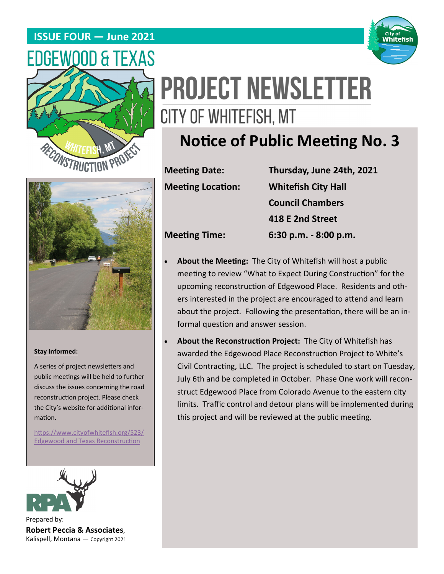## **ISSUE FOUR — June 2021**





# **PROJECT NEWSLETTER** CITY OF WHITEFISH, MT

# **Notice of Public Meeting No. 3**



#### **Stay Informed:**

A series of project newsletters and public meetings will be held to further discuss the issues concerning the road reconstruction project. Please check the City's website for additional information.

https://www.cityofwhitefish.org/523/ Edgewood and Texas Reconstruction



Prepared by: **Robert Peccia & Associates**, Kalispell, Montana — Copyright 2021

**MeeƟng Date: Thursday, June 24th, 2021 Meeting Location: Whitefish City Hall Council Chambers 418 E 2nd Street MeeƟng Time: 6:30 p.m. ‐ 8:00 p.m.** 

About the Meeting: The City of Whitefish will host a public meeting to review "What to Expect During Construction" for the upcoming reconstruction of Edgewood Place. Residents and oth-

ers interested in the project are encouraged to attend and learn about the project. Following the presentation, there will be an informal question and answer session.

**About the Reconstruction Project: The City of Whitefish has** awarded the Edgewood Place Reconstruction Project to White's Civil Contracting, LLC. The project is scheduled to start on Tuesday, July 6th and be completed in October. Phase One work will reconstruct Edgewood Place from Colorado Avenue to the eastern city limits. Traffic control and detour plans will be implemented during this project and will be reviewed at the public meeting.